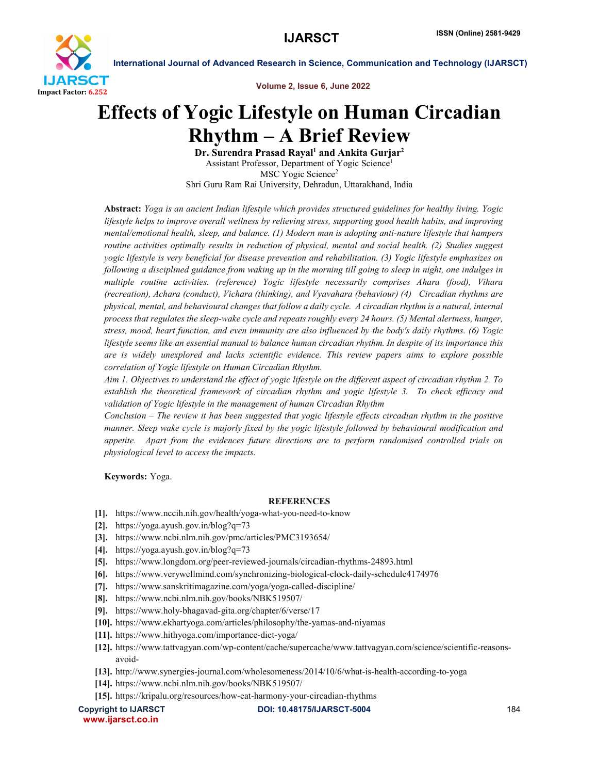

International Journal of Advanced Research in Science, Communication and Technology (IJARSCT)

Volume 2, Issue 6, June 2022

## Effects of Yogic Lifestyle on Human Circadian Rhythm – A Brief Review

Dr. Surendra Prasad Rayal<sup>1</sup> and Ankita Gurjar<sup>2</sup> Assistant Professor, Department of Yogic Science1 MSC Yogic Science<sup>2</sup> Shri Guru Ram Rai University, Dehradun, Uttarakhand, India

Abstract: *Yoga is an ancient Indian lifestyle which provides structured guidelines for healthy living. Yogic lifestyle helps to improve overall wellness by relieving stress, supporting good health habits, and improving mental/emotional health, sleep, and balance. (1) Modern man is adopting anti-nature lifestyle that hampers routine activities optimally results in reduction of physical, mental and social health. (2) Studies suggest yogic lifestyle is very beneficial for disease prevention and rehabilitation. (3) Yogic lifestyle emphasizes on following a disciplined guidance from waking up in the morning till going to sleep in night, one indulges in multiple routine activities. (reference) Yogic lifestyle necessarily comprises Ahara (food), Vihara (recreation), Achara (conduct), Vichara (thinking), and Vyavahara (behaviour) (4) Circadian rhythms are physical, mental, and behavioural changes that follow a daily cycle. A circadian rhythm is a natural, internal process that regulates the sleep-wake cycle and repeats roughly every 24 hours. (5) Mental alertness, hunger, stress, mood, heart function, and even immunity are also influenced by the body's daily rhythms. (6) Yogic lifestyle seems like an essential manual to balance human circadian rhythm. In despite of its importance this are is widely unexplored and lacks scientific evidence. This review papers aims to explore possible correlation of Yogic lifestyle on Human Circadian Rhythm.* 

*Aim 1. Objectives to understand the effect of yogic lifestyle on the different aspect of circadian rhythm 2. To establish the theoretical framework of circadian rhythm and yogic lifestyle 3. To check efficacy and validation of Yogic lifestyle in the management of human Circadian Rhythm* 

*Conclusion – The review it has been suggested that yogic lifestyle effects circadian rhythm in the positive manner. Sleep wake cycle is majorly fixed by the yogic lifestyle followed by behavioural modification and appetite. Apart from the evidences future directions are to perform randomised controlled trials on physiological level to access the impacts.*

Keywords: Yoga.

## **REFERENCES**

- [1]. https://www.nccih.nih.gov/health/yoga-what-you-need-to-know
- [2]. https://yoga.ayush.gov.in/blog?q=73
- [3]. https://www.ncbi.nlm.nih.gov/pmc/articles/PMC3193654/
- [4]. https://yoga.ayush.gov.in/blog?q=73
- [5]. https://www.longdom.org/peer-reviewed-journals/circadian-rhythms-24893.html
- [6]. https://www.verywellmind.com/synchronizing-biological-clock-daily-schedule4174976
- [7]. https://www.sanskritimagazine.com/yoga/yoga-called-discipline/
- [8]. https://www.ncbi.nlm.nih.gov/books/NBK519507/
- [9]. https://www.holy-bhagavad-gita.org/chapter/6/verse/17
- [10]. https://www.ekhartyoga.com/articles/philosophy/the-yamas-and-niyamas
- [11]. https://www.hithyoga.com/importance-diet-yoga/
- [12]. https://www.tattvagyan.com/wp-content/cache/supercache/www.tattvagyan.com/science/scientific-reasonsavoid-
- [13]. http://www.synergies-journal.com/wholesomeness/2014/10/6/what-is-health-according-to-yoga
- [14]. https://www.ncbi.nlm.nih.gov/books/NBK519507/
- [15]. https://kripalu.org/resources/how-eat-harmony-your-circadian-rhythms

www.ijarsct.co.in

Copyright to IJARSCTDOI: 10.48175/IJARSCT-5004 **184**